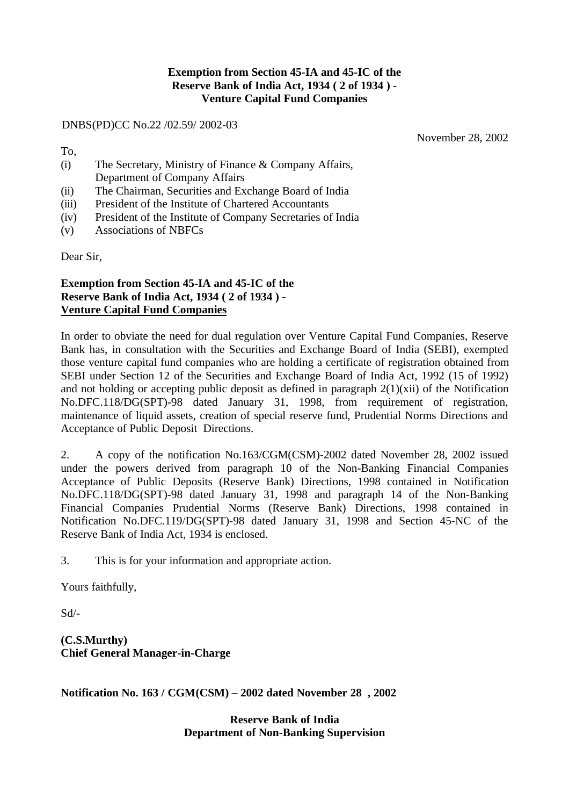## **Exemption from Section 45-IA and 45-IC of the Reserve Bank of India Act, 1934 ( 2 of 1934 ) - Venture Capital Fund Companies**

DNBS(PD)CC No.22 /02.59/ 2002-03

November 28, 2002

To,

- (i) The Secretary, Ministry of Finance & Company Affairs, Department of Company Affairs
- (ii) The Chairman, Securities and Exchange Board of India
- (iii) President of the Institute of Chartered Accountants
- (iv) President of the Institute of Company Secretaries of India
- (v) Associations of NBFCs

Dear Sir,

## **Exemption from Section 45-IA and 45-IC of the Reserve Bank of India Act, 1934 ( 2 of 1934 ) - Venture Capital Fund Companies**

In order to obviate the need for dual regulation over Venture Capital Fund Companies, Reserve Bank has, in consultation with the Securities and Exchange Board of India (SEBI), exempted those venture capital fund companies who are holding a certificate of registration obtained from SEBI under Section 12 of the Securities and Exchange Board of India Act, 1992 (15 of 1992) and not holding or accepting public deposit as defined in paragraph  $2(1)(xii)$  of the Notification No.DFC.118/DG(SPT)-98 dated January 31, 1998, from requirement of registration, maintenance of liquid assets, creation of special reserve fund, Prudential Norms Directions and Acceptance of Public Deposit Directions.

2. A copy of the notification No.163/CGM(CSM)-2002 dated November 28, 2002 issued under the powers derived from paragraph 10 of the Non-Banking Financial Companies Acceptance of Public Deposits (Reserve Bank) Directions, 1998 contained in Notification No.DFC.118/DG(SPT)-98 dated January 31, 1998 and paragraph 14 of the Non-Banking Financial Companies Prudential Norms (Reserve Bank) Directions, 1998 contained in Notification No.DFC.119/DG(SPT)-98 dated January 31, 1998 and Section 45-NC of the Reserve Bank of India Act, 1934 is enclosed.

3. This is for your information and appropriate action.

Yours faithfully,

Sd/-

**(C.S.Murthy) Chief General Manager-in-Charge**

**Notification No. 163 / CGM(CSM) – 2002 dated November 28 , 2002**

**Reserve Bank of India Department of Non-Banking Supervision**